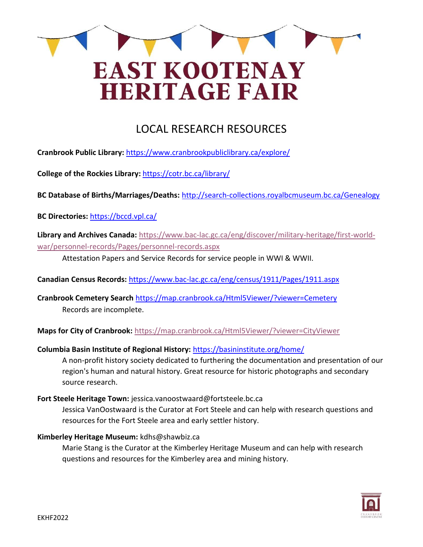

# **EAST KOOTENAY HERITAGE FAIR**

## LOCAL RESEARCH RESOURCES

**Cranbrook Public Library:** <https://www.cranbrookpubliclibrary.ca/explore/>

**College of the Rockies Library:** <https://cotr.bc.ca/library/>

**BC Database of Births/Marriages/Deaths:** <http://search-collections.royalbcmuseum.bc.ca/Genealogy>

**BC Directories:** <https://bccd.vpl.ca/>

**Library and Archives Canada:** [https://www.bac-lac.gc.ca/eng/discover/military-heritage/first-world](https://www.bac-lac.gc.ca/eng/discover/military-heritage/first-world-war/personnel-records/Pages/personnel-records.aspx)[war/personnel-records/Pages/personnel-records.aspx](https://www.bac-lac.gc.ca/eng/discover/military-heritage/first-world-war/personnel-records/Pages/personnel-records.aspx)

Attestation Papers and Service Records for service people in WWI & WWII.

**Canadian Census Records:** <https://www.bac-lac.gc.ca/eng/census/1911/Pages/1911.aspx>

**Cranbrook Cemetery Search** <https://map.cranbrook.ca/Html5Viewer/?viewer=Cemetery> Records are incomplete.

**Maps for City of Cranbrook:** <https://map.cranbrook.ca/Html5Viewer/?viewer=CityViewer>

**Columbia Basin Institute of Regional History: <https://basininstitute.org/home/>** 

A non-profit history society dedicated to furthering the documentation and presentation of our region's human and natural history. Great resource for historic photographs and secondary source research.

**Fort Steele Heritage Town:** jessica.vanoostwaard@fortsteele.bc.ca

Jessica VanOostwaard is the Curator at Fort Steele and can help with research questions and resources for the Fort Steele area and early settler history.

**Kimberley Heritage Museum:** kdhs@shawbiz.ca

Marie Stang is the Curator at the Kimberley Heritage Museum and can help with research questions and resources for the Kimberley area and mining history.